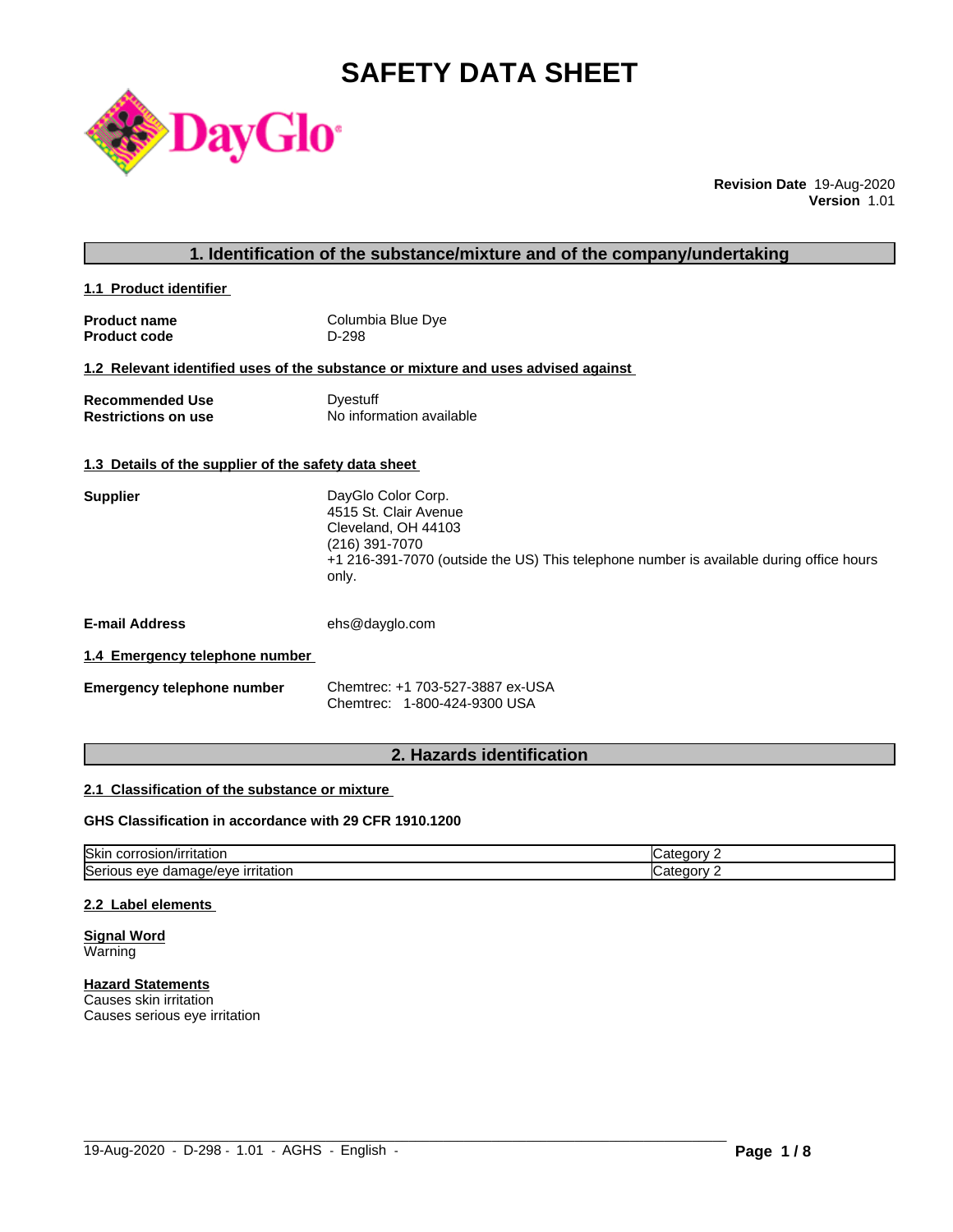# **SAFETY DATA SHEET**



**Revision Date** 19-Aug-2020 **Version** 1.01

**1.1 Product identifier** 

| <b>Product name</b> | Columbia Blue Dye |
|---------------------|-------------------|
| <b>Product code</b> | D-298             |

# **1.2 Relevant identified uses of the substance or mixture and uses advised against**

| <b>Recommended Use</b>     | Dyestuff                 |
|----------------------------|--------------------------|
| <b>Restrictions on use</b> | No information available |

# **1.3 Details of the supplier of the safety data sheet**

| DayGlo Color Corp.                                                                      |
|-----------------------------------------------------------------------------------------|
| 4515 St. Clair Avenue                                                                   |
| Cleveland, OH 44103                                                                     |
| (216) 391-7070                                                                          |
| +1 216-391-7070 (outside the US) This telephone number is available during office hours |
| only.                                                                                   |
|                                                                                         |

**E-mail Address** ehs@dayglo.com

#### **1.4 Emergency telephone number**

| <b>Emergency telephone number</b> | Chemtrec: +1 703-527-3887 ex-USA |
|-----------------------------------|----------------------------------|
|                                   | Chemtrec: 1-800-424-9300 USA     |

# **2. Hazards identification**

# **2.1 Classification of the substance or mixture**

# **GHS Classification in accordance with 29 CFR 1910.1200**

| <b>Skin</b><br>/irritation                          |  |
|-----------------------------------------------------|--|
| Ser<br><u>ırrıtatıor</u><br>AVE<br>$\sim$<br>$\sim$ |  |

 $\_$  ,  $\_$  ,  $\_$  ,  $\_$  ,  $\_$  ,  $\_$  ,  $\_$  ,  $\_$  ,  $\_$  ,  $\_$  ,  $\_$  ,  $\_$  ,  $\_$  ,  $\_$  ,  $\_$  ,  $\_$  ,  $\_$  ,  $\_$  ,  $\_$  ,  $\_$  ,  $\_$  ,  $\_$  ,  $\_$  ,  $\_$  ,  $\_$  ,  $\_$  ,  $\_$  ,  $\_$  ,  $\_$  ,  $\_$  ,  $\_$  ,  $\_$  ,  $\_$  ,  $\_$  ,  $\_$  ,  $\_$  ,  $\_$  ,

#### **2.2 Label elements**

**Signal Word** Warning

**Hazard Statements** Causes skin irritation Causes serious eye irritation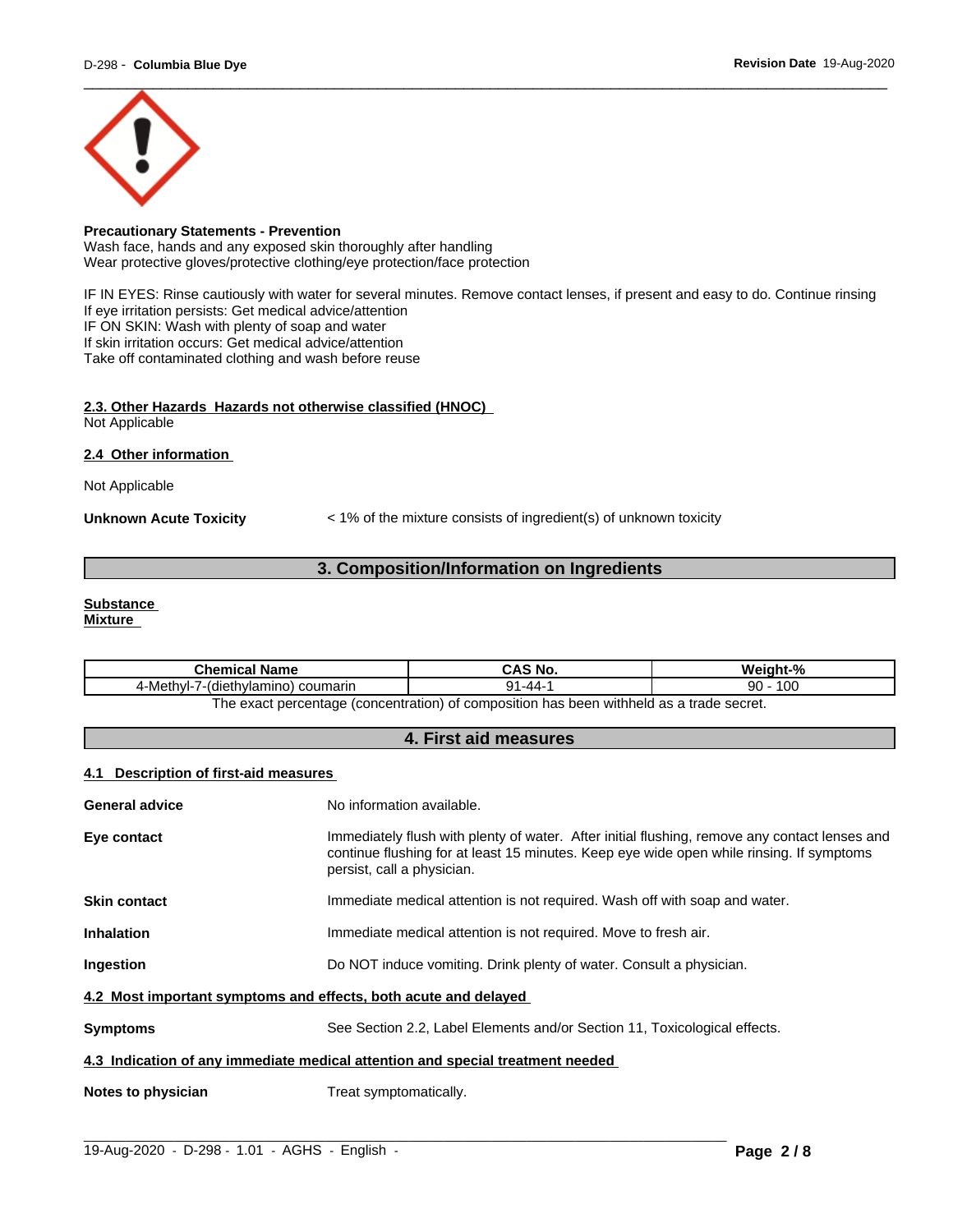

# **Precautionary Statements - Prevention**

Wash face, hands and any exposed skin thoroughly after handling Wear protective gloves/protective clothing/eye protection/face protection

IF IN EYES: Rinse cautiously with water for several minutes. Remove contact lenses, if present and easy to do. Continue rinsing If eye irritation persists: Get medical advice/attention IF ON SKIN: Wash with plenty of soap and water If skin irritation occurs: Get medical advice/attention

Take off contaminated clothing and wash before reuse

# **2.3. Other Hazards Hazards not otherwise classified (HNOC)** Not Applicable

**2.4 Other information** 

Not Applicable

**Unknown Acute Toxicity** < 1% of the mixture consists of ingredient(s) of unknown toxicity

# **3. Composition/Information on Ingredients**

# **Substance**

**Mixture**

| 10 <sup>c</sup><br>۵n<br>--<br>nvı-<br>-44 | ---<br>Name<br>nicai                                | 'N<br>∵ NC.<br>uni | О.        |
|--------------------------------------------|-----------------------------------------------------|--------------------|-----------|
|                                            | 4-Meth<br><sup>'</sup> lamino)<br>coumarin<br>dieth |                    | טע.<br>ັບ |

The exact percentage (concentration) of composition has been withheld as a trade secret.

# **4. First aid measures**

# **4.1 Description of first-aid measures**

| General advice                                                                 | No information available.                                                                                                                                                                                               |  |  |
|--------------------------------------------------------------------------------|-------------------------------------------------------------------------------------------------------------------------------------------------------------------------------------------------------------------------|--|--|
| Eye contact                                                                    | Immediately flush with plenty of water. After initial flushing, remove any contact lenses and<br>continue flushing for at least 15 minutes. Keep eye wide open while rinsing. If symptoms<br>persist, call a physician. |  |  |
| <b>Skin contact</b>                                                            | Immediate medical attention is not required. Wash off with soap and water.                                                                                                                                              |  |  |
| <b>Inhalation</b>                                                              | Immediate medical attention is not required. Move to fresh air.                                                                                                                                                         |  |  |
| Ingestion                                                                      | Do NOT induce vomiting. Drink plenty of water. Consult a physician.                                                                                                                                                     |  |  |
| 4.2 Most important symptoms and effects, both acute and delayed                |                                                                                                                                                                                                                         |  |  |
| <b>Symptoms</b>                                                                | See Section 2.2, Label Elements and/or Section 11, Toxicological effects.                                                                                                                                               |  |  |
| 4.3 Indication of any immediate medical attention and special treatment needed |                                                                                                                                                                                                                         |  |  |
| Notes to physician                                                             | Treat symptomatically.                                                                                                                                                                                                  |  |  |
|                                                                                |                                                                                                                                                                                                                         |  |  |

 $\_$  ,  $\_$  ,  $\_$  ,  $\_$  ,  $\_$  ,  $\_$  ,  $\_$  ,  $\_$  ,  $\_$  ,  $\_$  ,  $\_$  ,  $\_$  ,  $\_$  ,  $\_$  ,  $\_$  ,  $\_$  ,  $\_$  ,  $\_$  ,  $\_$  ,  $\_$  ,  $\_$  ,  $\_$  ,  $\_$  ,  $\_$  ,  $\_$  ,  $\_$  ,  $\_$  ,  $\_$  ,  $\_$  ,  $\_$  ,  $\_$  ,  $\_$  ,  $\_$  ,  $\_$  ,  $\_$  ,  $\_$  ,  $\_$  ,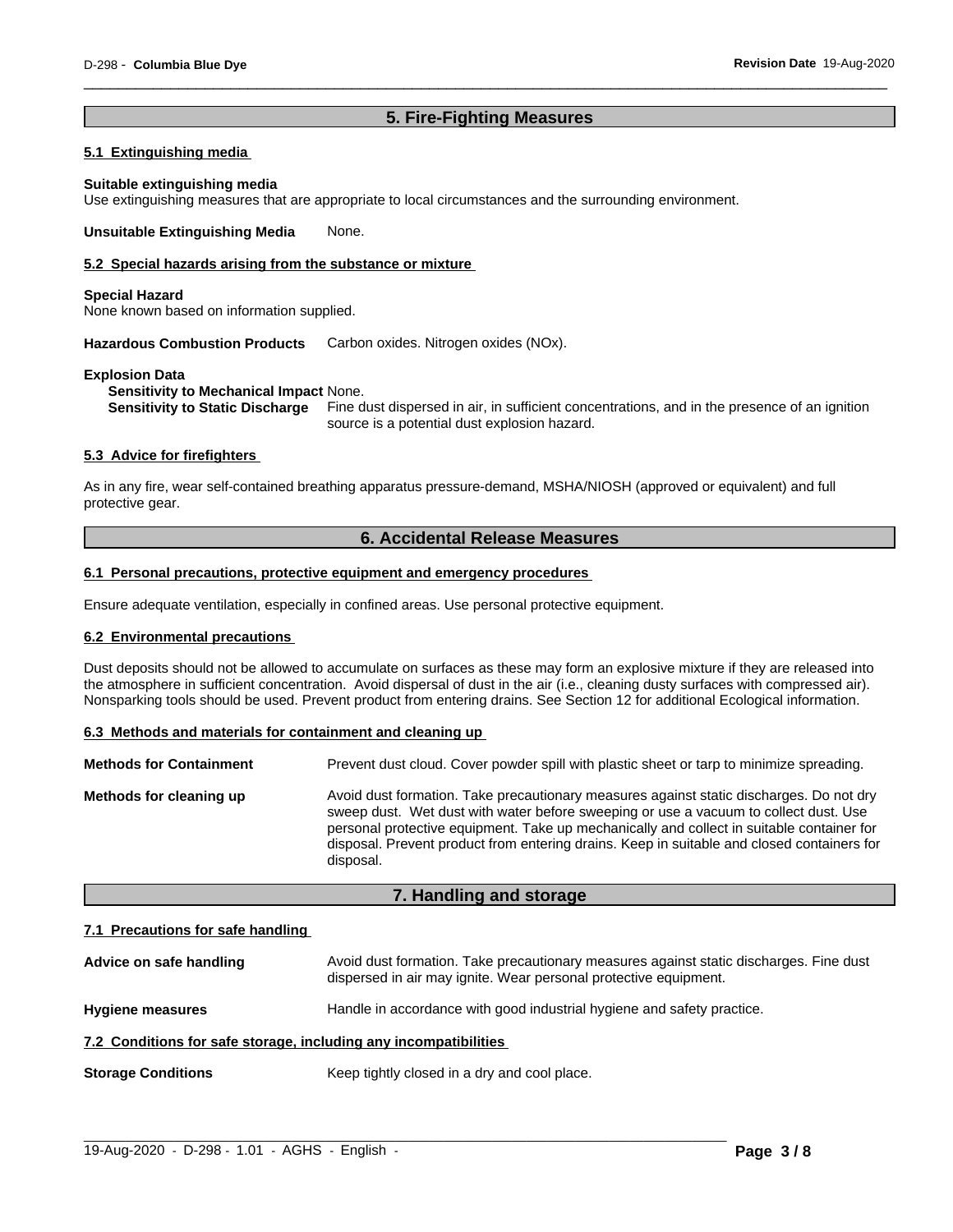# **5. Fire-Fighting Measures**

# **5.1 Extinguishing media**

#### **Suitable extinguishing media**

Use extinguishing measures that are appropriate to local circumstances and the surrounding environment.

**Unsuitable Extinguishing Media** None.

#### **5.2 Special hazards arising from the substance or mixture**

#### **Special Hazard**

None known based on information supplied.

**Hazardous Combustion Products** Carbon oxides. Nitrogen oxides (NOx).

## **Explosion Data**

**Sensitivity to Mechanical Impact** None.

**Sensitivity to Static Discharge** Fine dust dispersed in air, in sufficient concentrations, and in the presence of an ignition source is a potential dust explosion hazard.

# **5.3 Advice for firefighters**

As in any fire, wear self-contained breathing apparatus pressure-demand, MSHA/NIOSH (approved or equivalent) and full protective gear.

# **6. Accidental Release Measures**

# **6.1 Personal precautions, protective equipment and emergency procedures**

Ensure adequate ventilation, especially in confined areas. Use personal protective equipment.

# **6.2 Environmental precautions**

Dust deposits should not be allowed to accumulate on surfaces as these may form an explosive mixture if they are released into the atmosphere in sufficient concentration. Avoid dispersal of dust in the air (i.e., cleaning dusty surfaces with compressed air). Nonsparking tools should be used. Prevent product from entering drains. See Section 12 for additional Ecological information.

#### **6.3 Methods and materials for containment and cleaning up**

| <b>Methods for Containment</b> | Prevent dust cloud. Cover powder spill with plastic sheet or tarp to minimize spreading.                                                                                                                                                                                                                                                                                                |
|--------------------------------|-----------------------------------------------------------------------------------------------------------------------------------------------------------------------------------------------------------------------------------------------------------------------------------------------------------------------------------------------------------------------------------------|
| Methods for cleaning up        | Avoid dust formation. Take precautionary measures against static discharges. Do not dry<br>sweep dust. Wet dust with water before sweeping or use a vacuum to collect dust. Use<br>personal protective equipment. Take up mechanically and collect in suitable container for<br>disposal. Prevent product from entering drains. Keep in suitable and closed containers for<br>disposal. |

# **7. Handling and storage**

# **7.1 Precautions for safe handling**

| Advice on safe handling                                          | Avoid dust formation. Take precautionary measures against static discharges. Fine dust<br>dispersed in air may ignite. Wear personal protective equipment. |
|------------------------------------------------------------------|------------------------------------------------------------------------------------------------------------------------------------------------------------|
| <b>Hygiene measures</b>                                          | Handle in accordance with good industrial hygiene and safety practice.                                                                                     |
| 7.2 Conditions for safe storage, including any incompatibilities |                                                                                                                                                            |
| <b>Storage Conditions</b>                                        | Keep tightly closed in a dry and cool place.                                                                                                               |

 $\_$  ,  $\_$  ,  $\_$  ,  $\_$  ,  $\_$  ,  $\_$  ,  $\_$  ,  $\_$  ,  $\_$  ,  $\_$  ,  $\_$  ,  $\_$  ,  $\_$  ,  $\_$  ,  $\_$  ,  $\_$  ,  $\_$  ,  $\_$  ,  $\_$  ,  $\_$  ,  $\_$  ,  $\_$  ,  $\_$  ,  $\_$  ,  $\_$  ,  $\_$  ,  $\_$  ,  $\_$  ,  $\_$  ,  $\_$  ,  $\_$  ,  $\_$  ,  $\_$  ,  $\_$  ,  $\_$  ,  $\_$  ,  $\_$  ,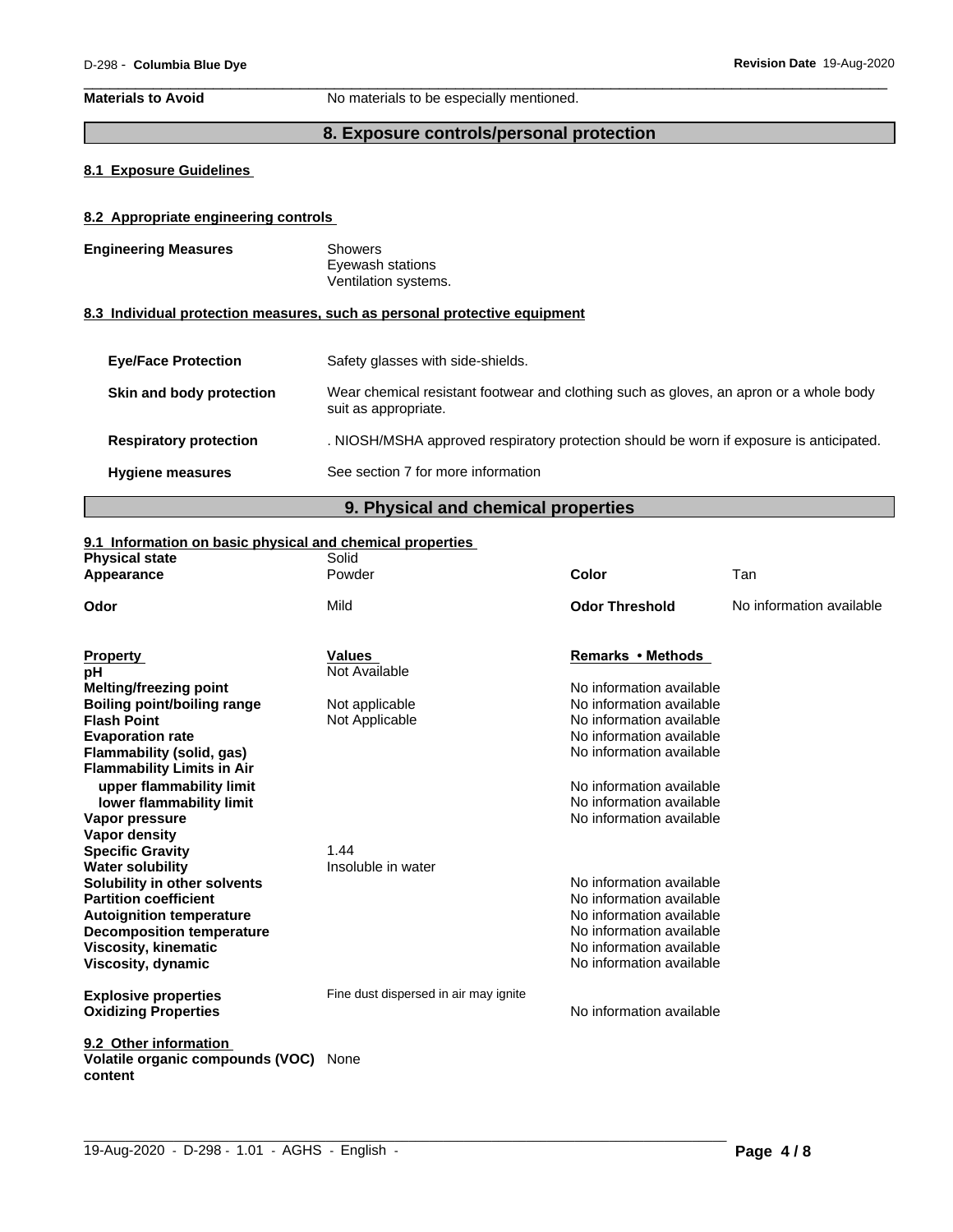**Materials to Avoid** No materials to be especially mentioned.

# **8. Exposure controls/personal protection**

# **8.1 Exposure Guidelines**

# **8.2 Appropriate engineering controls**

| <b>Engineering Measures</b>   | <b>Showers</b><br>Eyewash stations<br>Ventilation systems.                                                     |
|-------------------------------|----------------------------------------------------------------------------------------------------------------|
|                               | 8.3 Individual protection measures, such as personal protective equipment                                      |
| <b>Eve/Face Protection</b>    | Safety glasses with side-shields.                                                                              |
| Skin and body protection      | Wear chemical resistant footwear and clothing such as gloves, an apron or a whole body<br>suit as appropriate. |
| <b>Respiratory protection</b> | . NIOSH/MSHA approved respiratory protection should be worn if exposure is anticipated.                        |
| <b>Hygiene measures</b>       | See section 7 for more information                                                                             |
|                               |                                                                                                                |

# **9. Physical and chemical properties**

# **9.1 Information on basic physical and chemical properties**

| <b>Physical state</b>                                      | Solid                                 |                          |                          |
|------------------------------------------------------------|---------------------------------------|--------------------------|--------------------------|
| Appearance                                                 | Powder                                | Color                    | Tan                      |
| Odor                                                       | Mild                                  | <b>Odor Threshold</b>    | No information available |
| <b>Property</b>                                            | <b>Values</b>                         | Remarks • Methods        |                          |
| рH                                                         | Not Available                         |                          |                          |
| <b>Melting/freezing point</b>                              |                                       | No information available |                          |
| <b>Boiling point/boiling range</b>                         | Not applicable                        | No information available |                          |
| <b>Flash Point</b>                                         | Not Applicable                        | No information available |                          |
| <b>Evaporation rate</b>                                    |                                       | No information available |                          |
| Flammability (solid, gas)                                  |                                       | No information available |                          |
| <b>Flammability Limits in Air</b>                          |                                       |                          |                          |
| upper flammability limit                                   |                                       | No information available |                          |
| lower flammability limit                                   |                                       | No information available |                          |
| Vapor pressure                                             |                                       | No information available |                          |
| <b>Vapor density</b>                                       |                                       |                          |                          |
| <b>Specific Gravity</b>                                    | 1.44                                  |                          |                          |
| <b>Water solubility</b>                                    | Insoluble in water                    |                          |                          |
| Solubility in other solvents                               |                                       | No information available |                          |
| <b>Partition coefficient</b>                               |                                       | No information available |                          |
| <b>Autoignition temperature</b>                            |                                       | No information available |                          |
| <b>Decomposition temperature</b>                           |                                       | No information available |                          |
| <b>Viscosity, kinematic</b>                                |                                       | No information available |                          |
| Viscosity, dynamic                                         |                                       | No information available |                          |
|                                                            | Fine dust dispersed in air may ignite |                          |                          |
| <b>Explosive properties</b><br><b>Oxidizing Properties</b> |                                       | No information available |                          |
|                                                            |                                       |                          |                          |
| 9.2 Other information                                      |                                       |                          |                          |
| Volatile organic compounds (VOC)                           | None                                  |                          |                          |
| content                                                    |                                       |                          |                          |

 $\_$  ,  $\_$  ,  $\_$  ,  $\_$  ,  $\_$  ,  $\_$  ,  $\_$  ,  $\_$  ,  $\_$  ,  $\_$  ,  $\_$  ,  $\_$  ,  $\_$  ,  $\_$  ,  $\_$  ,  $\_$  ,  $\_$  ,  $\_$  ,  $\_$  ,  $\_$  ,  $\_$  ,  $\_$  ,  $\_$  ,  $\_$  ,  $\_$  ,  $\_$  ,  $\_$  ,  $\_$  ,  $\_$  ,  $\_$  ,  $\_$  ,  $\_$  ,  $\_$  ,  $\_$  ,  $\_$  ,  $\_$  ,  $\_$  ,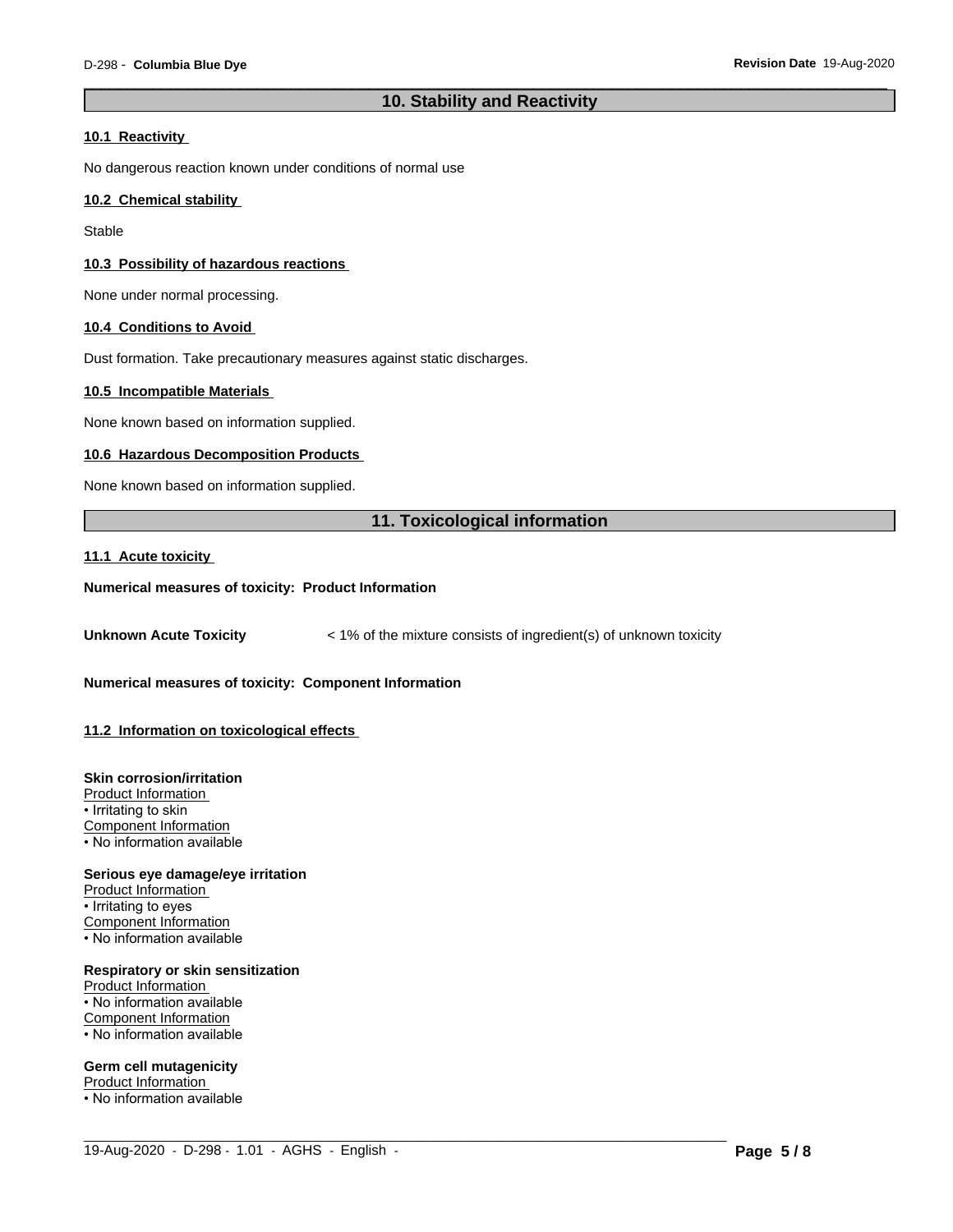# **10. Stability and Reactivity**

# **10.1 Reactivity**

No dangerous reaction known under conditions of normal use

# **10.2 Chemical stability**

**Stable** 

# **10.3 Possibility of hazardous reactions**

None under normal processing.

## **10.4 Conditions to Avoid**

Dust formation. Take precautionary measures against static discharges.

# **10.5 Incompatible Materials**

None known based on information supplied.

## **10.6 Hazardous Decomposition Products**

None known based on information supplied.

# **11. Toxicological information**

 $\_$  ,  $\_$  ,  $\_$  ,  $\_$  ,  $\_$  ,  $\_$  ,  $\_$  ,  $\_$  ,  $\_$  ,  $\_$  ,  $\_$  ,  $\_$  ,  $\_$  ,  $\_$  ,  $\_$  ,  $\_$  ,  $\_$  ,  $\_$  ,  $\_$  ,  $\_$  ,  $\_$  ,  $\_$  ,  $\_$  ,  $\_$  ,  $\_$  ,  $\_$  ,  $\_$  ,  $\_$  ,  $\_$  ,  $\_$  ,  $\_$  ,  $\_$  ,  $\_$  ,  $\_$  ,  $\_$  ,  $\_$  ,  $\_$  ,

# **11.1 Acute toxicity**

# **Numerical measures of toxicity: Product Information**

**Unknown Acute Toxicity**  $\lt$  1% of the mixture consists of ingredient(s) of unknown toxicity

# **Numerical measures of toxicity: Component Information**

# **11.2 Information on toxicologicaleffects**

## **Skin corrosion/irritation**

Product Information • Irritating to skin

Component Information • No information available

#### **Serious eye damage/eye irritation**

Product Information • Irritating to eyes Component Information • No information available

#### **Respiratory or skin sensitization** Product Information

• No information available Component Information • No information available

# **Germ cell mutagenicity**

Product Information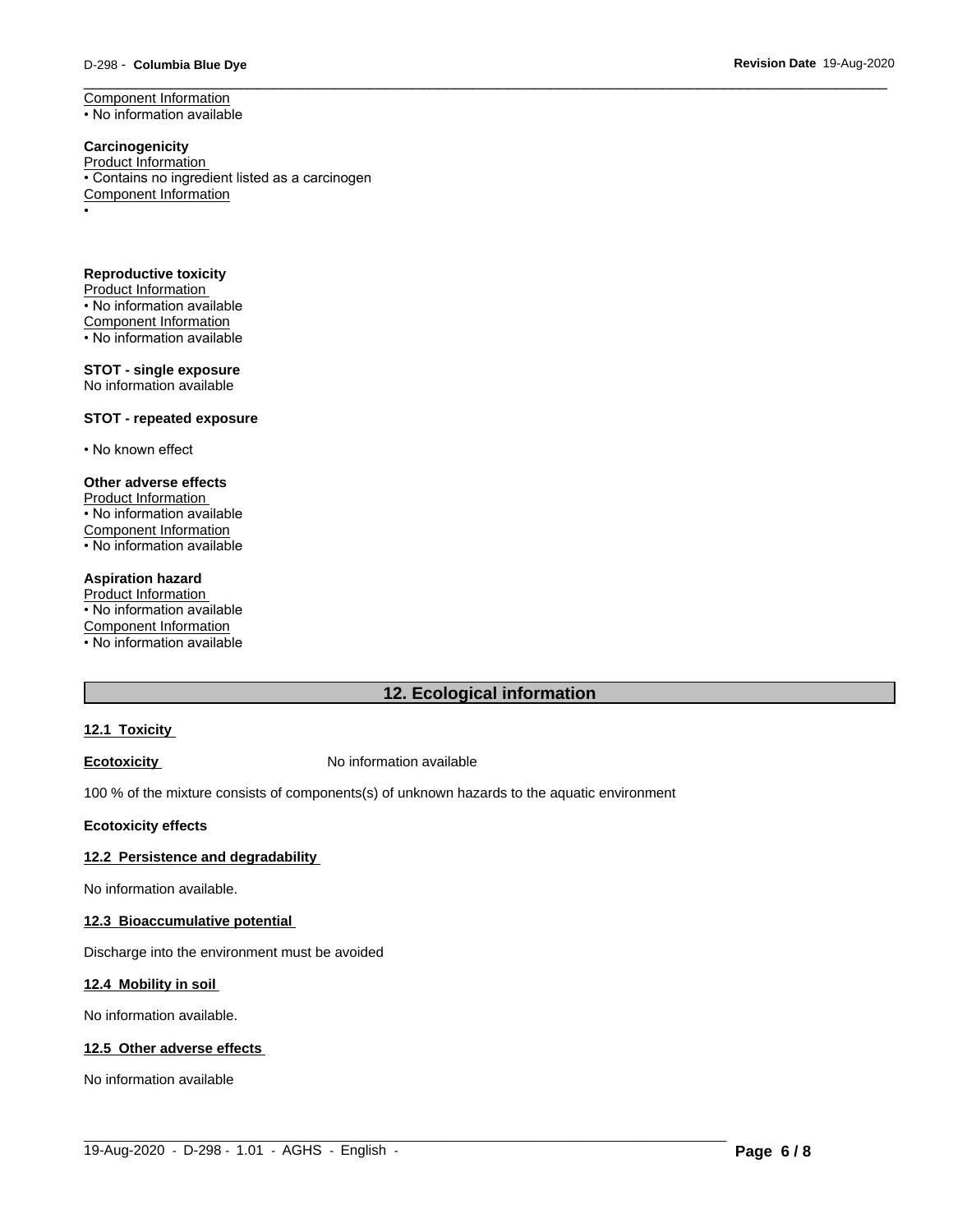# \_\_\_\_\_\_\_\_\_\_\_\_\_\_\_\_\_\_\_\_\_\_\_\_\_\_\_\_\_\_\_\_\_\_\_\_\_\_\_\_\_\_\_\_\_\_\_\_\_\_\_\_\_\_\_\_\_\_\_\_\_\_\_\_\_\_\_\_\_\_\_\_\_\_\_\_\_\_\_\_\_\_\_\_\_\_\_\_\_\_\_\_\_ D-298 - **Columbia Blue Dye Revision Date** 19-Aug-2020

Component Information • No information available

#### **Carcinogenicity** Product Information • Contains no ingredient listed as a carcinogen Component Information •

**Reproductive toxicity** Product Information • No information available Component Information • No information available

# **STOT - single exposure** No information available

## **STOT - repeated exposure**

• No known effect

# **Other adverse effects**

Product Information • No information available Component Information • No information available

#### **Aspiration hazard**

Product Information • No information available Component Information • No information available

# **12. Ecological information**

# **12.1 Toxicity**

# **Ecotoxicity No information available**

100 % of the mixture consists of components(s) of unknown hazards to the aquatic environment

#### **Ecotoxicity effects**

# **12.2 Persistence and degradability**

No information available.

# **12.3 Bioaccumulative potential**

Discharge into the environment must be avoided

#### **12.4 Mobility in soil**

No information available.

# **12.5 Other adverse effects**

No information available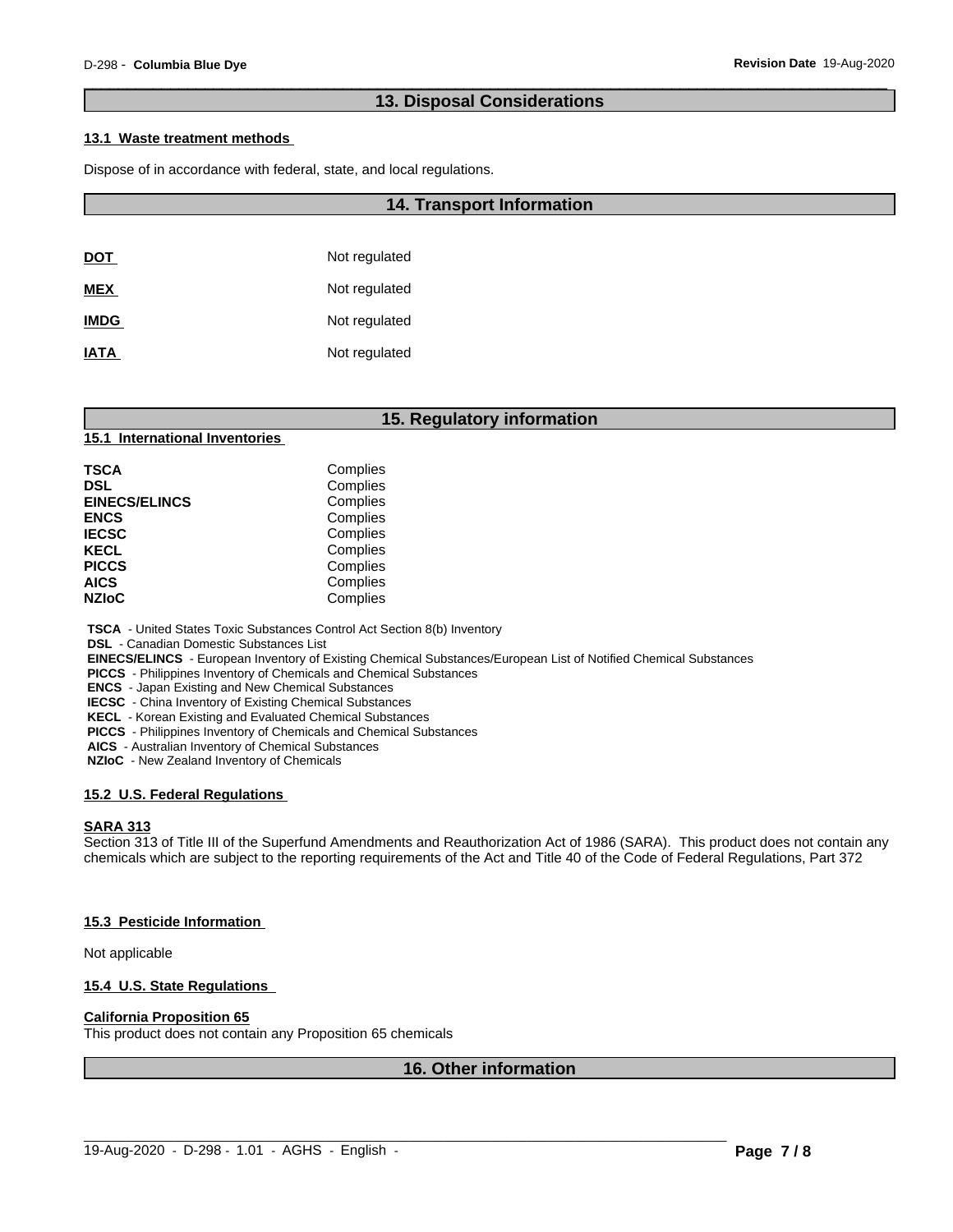# **13. Disposal Considerations**

# **13.1 Waste treatment methods**

Dispose of in accordance with federal, state, and local regulations.

|             | <b>14. Transport Information</b> |
|-------------|----------------------------------|
|             |                                  |
| <u>DOT</u>  | Not regulated                    |
| MEX         | Not regulated                    |
| <b>IMDG</b> | Not regulated                    |
| <b>IATA</b> | Not regulated                    |

# **15. Regulatory information**

# **15.1 International Inventories**

| TSCA                 | Complies |  |
|----------------------|----------|--|
| DSL                  | Complies |  |
| <b>EINECS/ELINCS</b> | Complies |  |
| <b>ENCS</b>          | Complies |  |
| <b>IECSC</b>         | Complies |  |
| KECL                 | Complies |  |
| <b>PICCS</b>         | Complies |  |
| AICS                 | Complies |  |
| <b>NZIoC</b>         | Complies |  |

 **TSCA** - United States Toxic Substances Control Act Section 8(b) Inventory

 **DSL** - Canadian Domestic Substances List

 **EINECS/ELINCS** - European Inventory of Existing Chemical Substances/European List of Notified Chemical Substances

 **PICCS** - Philippines Inventory of Chemicals and Chemical Substances

 **ENCS** - Japan Existing and New Chemical Substances

 **IECSC** - China Inventory of Existing Chemical Substances

 **KECL** - Korean Existing and Evaluated Chemical Substances

 **PICCS** - Philippines Inventory of Chemicals and Chemical Substances

 **AICS** - Australian Inventory of Chemical Substances

 **NZIoC** - New Zealand Inventory of Chemicals

### **15.2 U.S. Federal Regulations**

#### **SARA 313**

Section 313 of Title III of the Superfund Amendments and Reauthorization Act of 1986 (SARA). This product does not contain any chemicals which are subject to the reporting requirements of the Act and Title 40 of the Code of Federal Regulations, Part 372

# **15.3 Pesticide Information**

Not applicable

#### **15.4 U.S. State Regulations**

#### **California Proposition 65**

This product does not contain any Proposition 65 chemicals

**16. Other information**